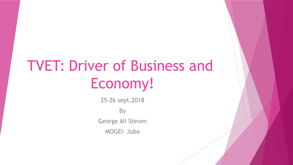# TVET: Driver of Business and Economy!

25-26 sept.2018 **By** George Ali Steven MOGEI- Juba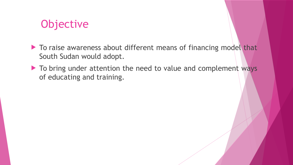## **Objective**

- To raise awareness about different means of financing model that South Sudan would adopt.
- To bring under attention the need to value and complement ways of educating and training.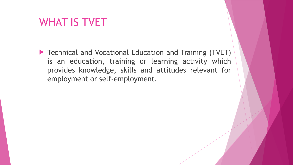## WHAT IS TVET

 Technical and Vocational Education and Training (TVET) is an education, training or learning activity which provides knowledge, skills and attitudes relevant for employment or self-employment.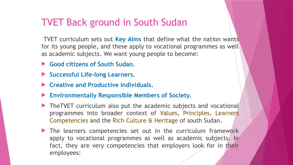### TVET Back ground in South Sudan

TVET curriculum sets out **Key Aims** that define what the nation wants for its young people, and these apply to vocational programmes as well as academic subjects. We want young people to become:

- **Good citizens of South Sudan.**
- **Successful Life-long Learners.**
- **Creative and Productive Individuals.**
- **Environmentally Responsible Members of Society.**
- ▶ TheTVET curriculum also put the academic subjects and vocational programmes into broader context of Values, Principles, Learners Competencies and the Rich Culture & Heritage of south Sudan.
- The learners competencies set out in the curriculum framework apply to vocational programmes as well as academic subjects. In fact, they are very competencies that employers look for in their employees: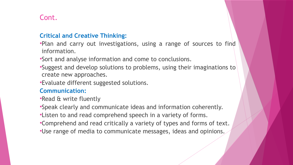### Cont.

#### **Critical and Creative Thinking:**

Plan and carry out investigations, using a range of sources to find information.

Sort and analyse information and come to conclusions.

Suggest and develop solutions to problems, using their imaginations to create new approaches.

Evaluate different suggested solutions.

#### **Communication:**

Read & write fluently

Speak clearly and communicate ideas and information coherently.

Listen to and read comprehend speech in a variety of forms.

- Comprehend and read critically a variety of types and forms of text.
- Use range of media to communicate messages, ideas and opinions.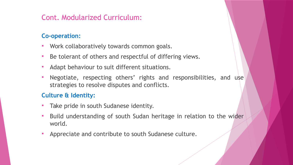### Cont. Modularized Curriculum:

#### **Co-operation:**

- **Work collaboratively towards common goals.**
- Be tolerant of others and respectful of differing views.
- Adapt behaviour to suit different situations.
- Negotiate, respecting others' rights and responsibilities, and use strategies to resolve disputes and conflicts.

#### **Culture & Identity:**

- Take pride in south Sudanese identity.
- Build understanding of south Sudan heritage in relation to the wider world.
- Appreciate and contribute to south Sudanese culture.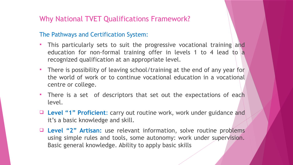### Why National TVET Qualifications Framework?

#### The Pathways and Certification System:

- This particularly sets to suit the progressive vocational training and education for non-formal training offer in levels 1 to 4 lead to a recognized qualification at an appropriate level.
- There is possibility of leaving school/training at the end of any year for the world of work or to continue vocational education in a vocational centre or college.
- There is a set of descriptors that set out the expectations of each level.
- **Level "1" Proficient**: carry out routine work, work under guidance and it's a basic knowledge and skill.
- **Level "2" Artisan:** use relevant information, solve routine problems using simple rules and tools, some autonomy: work under supervision. Basic general knowledge. Ability to apply basic skills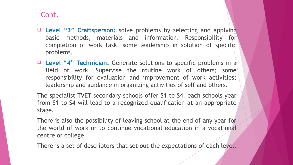#### Cont.

- **Level "3" Craftsperson:** solve problems by selecting and applying basic methods, materials and information. Responsibility for completion of work task, some leadership in solution of specific problems.
- **Level "4" Technician:** Generate solutions to specific problems in a field of work. Supervise the routine work of others; some responsibility for evaluation and improvement of work activities; leadership and guidance in organizing activities of self and others.

The specialist TVET secondary schools offer S1 to S4. each schools year from S1 to S4 will lead to a recognized qualification at an appropriate stage.

There is also the possibility of leaving school at the end of any year for the world of work or to continue vocational education in a vocational centre or college.

There is a set of descriptors that set out the expectations of each level.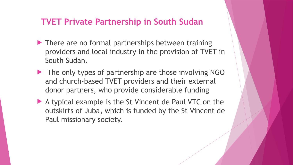### **TVET Private Partnership in South Sudan**

- **There are no formal partnerships between training** providers and local industry in the provision of TVET in South Sudan.
- $\blacktriangleright$  The only types of partnership are those involving NGO and church-based TVET providers and their external donor partners, who provide considerable funding
- A typical example is the St Vincent de Paul VTC on the outskirts of Juba, which is funded by the St Vincent de Paul missionary society.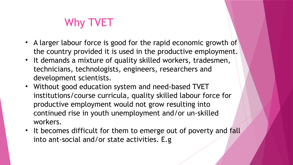## Why TVET

- A larger labour force is good for the rapid economic growth of the country provided it is used in the productive employment.
- It demands a mixture of quality skilled workers, tradesmen, technicians, technologists, engineers, researchers and development scientists.
- Without good education system and need-based TVET institutions/course curricula, quality skilled labour force for productive employment would not grow resulting into continued rise in youth unemployment and/or un-skilled workers.
- It becomes difficult for them to emerge out of poverty and fall into ant-social and/or state activities. E.g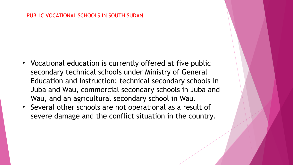#### PUBLIC VOCATIONAL SCHOOLS IN SOUTH SUDAN

- Vocational education is currently offered at five public secondary technical schools under Ministry of General Education and Instruction: technical secondary schools in Juba and Wau, commercial secondary schools in Juba and Wau, and an agricultural secondary school in Wau.
- Several other schools are not operational as a result of severe damage and the conflict situation in the country.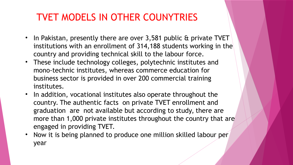- In Pakistan, presently there are over 3,581 public & private TVET institutions with an enrollment of 314,188 students working in the country and providing technical skill to the labour force.
- These include technology colleges, polytechnic institutes and mono-technic institutes, whereas commerce education for business sector is provided in over 200 commercial training institutes.
- In addition, vocational institutes also operate throughout the country. The authentic facts on private TVET enrollment and graduation are not available but according to study, there are more than 1,000 private institutes throughout the country that are engaged in providing TVET.
- Now it is being planned to produce one million skilled labour per year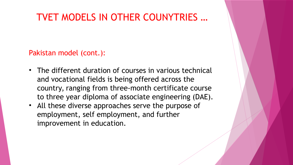Pakistan model (cont.):

- The different duration of courses in various technical and vocational fields is being offered across the country, ranging from three-month certificate course to three year diploma of associate engineering (DAE).
- All these diverse approaches serve the purpose of employment, self employment, and further improvement in education.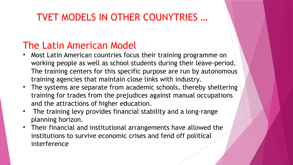### The Latin American Model

- Most Latin American countries focus their training programme on working people as well as school students during their leave-period. The training centers for this specific purpose are run by autonomous training agencies that maintain close links with industry.
- The systems are separate from academic schools, thereby sheltering training for trades from the prejudices against manual occupations and the attractions of higher education.
- The training levy provides financial stability and a long-range planning horizon.
- Their financial and institutional arrangements have allowed the institutions to survive economic crises and fend off political interference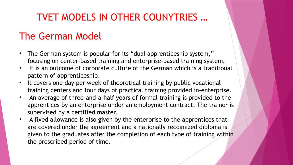### The German Model

- The German system is popular for its "dual apprenticeship system," focusing on center-based training and enterprise-based training system.
- It is an outcome of corporate culture of the German which is a traditional pattern of apprenticeship.
- It covers one day per week of theoretical training by public vocational training centers and four days of practical training provided in-enterprise.
- An average of three-and-a-half years of formal training is provided to the apprentices by an enterprise under an employment contract. The trainer is supervised by a certified master.
- A fixed allowance is also given by the enterprise to the apprentices that are covered under the agreement and a nationally recognized diploma is given to the graduates after the completion of each type of training within the prescribed period of time.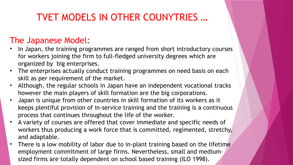### The Japanese Model:

- In Japan, the training programmes are ranged from short introductory courses for workers joining the firm to full-fledged university degrees which are organized by big enterprises.
- The enterprises actually conduct training programmes on need basis on each skill as per requirement of the market.
- Although, the regular schools in Japan have an independent vocational tracks however the main players of skill formation are the big corporations.
- Japan is unique from other countries in skill formation of its workers as it keeps plentiful provision of in-service training and the training is a continuous process that continues throughout the life of the worker.
- A variety of courses are offered that cover immediate and specific needs of workers thus producing a work force that is committed, regimented, stretchy, and adaptable.
- There is a low mobility of labor due to in-plant training based on the lifetime employment commitment of large firms. Nevertheless, small and mediumsized firms are totally dependent on school based training (ILO 1998).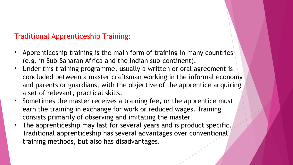### Traditional Apprenticeship Training:

- Apprenticeship training is the main form of training in many countries (e.g. in Sub-Saharan Africa and the Indian sub-continent).
- Under this training programme, usually a written or oral agreement is concluded between a master craftsman working in the informal economy and parents or guardians, with the objective of the apprentice acquiring a set of relevant, practical skills.
- Sometimes the master receives a training fee, or the apprentice must earn the training in exchange for work or reduced wages. Training consists primarily of observing and imitating the master.
- The apprenticeship may last for several years and is product specific. Traditional apprenticeship has several advantages over conventional training methods, but also has disadvantages.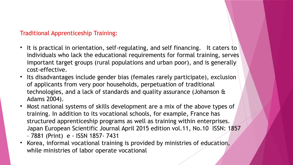#### Traditional Apprenticeship Training:

- It is practical in orientation, self-regulating, and self financing. It caters to individuals who lack the educational requirements for formal training, serves important target groups (rural populations and urban poor), and is generally cost-effective.
- Its disadvantages include gender bias (females rarely participate), exclusion of applicants from very poor households, perpetuation of traditional technologies, and a lack of standards and quality assurance (Johanson & Adams 2004).
- Most national systems of skills development are a mix of the above types of training. In addition to its vocational schools, for example, France has structured apprenticeship programs as well as training within enterprises. Japan European Scientific Journal April 2015 edition vol.11, No.10 ISSN: 1857 – 7881 (Print) e - ISSN 1857- 7431
- Korea, informal vocational training is provided by ministries of education, while ministries of labor operate vocational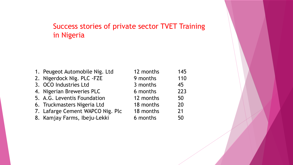### Success stories of private sector TVET Training in Nigeria

|                       | 1. Peugeot Automobile Nig. Ltd   | 12 months | 145 |
|-----------------------|----------------------------------|-----------|-----|
|                       | 2. Nigerdock Nig. PLC -FZE       | 9 months  | 110 |
| 3. OCO Industries Ltd |                                  | 3 months  | 45  |
|                       | 4. Nigerian Breweries PLC        | 6 months  | 223 |
|                       | 5. A.G. Leventis Foundation      | 12 months | 50  |
|                       | 6. Truckmasters Nigeria Ltd      | 18 months | 20  |
|                       | 7. Lafarge Cement WAPCO Nig. Plc | 18 months | 21  |
|                       | 8. Kamjay Farms, Ibeju-Lekki     | 6 months  | 50  |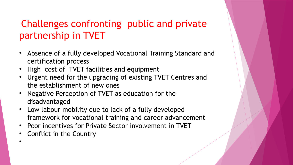### Challenges confronting public and private partnership in TVET

- Absence of a fully developed Vocational Training Standard and certification process
- High cost of TVET facilities and equipment
- Urgent need for the upgrading of existing TVET Centres and the establishment of new ones
- Negative Perception of TVET as education for the disadvantaged
- Low labour mobility due to lack of a fully developed framework for vocational training and career advancement
- Poor incentives for Private Sector involvement in TVET
- Conflict in the Country

•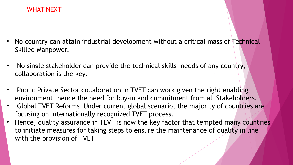#### WHAT NEXT

- No country can attain industrial development without a critical mass of Technical Skilled Manpower.
- No single stakeholder can provide the technical skills needs of any country, collaboration is the key.
- Public Private Sector collaboration in TVET can work given the right enabling environment, hence the need for buy-in and commitment from all Stakeholders.
- Global TVET Reforms Under current global scenario, the majority of countries are focusing on internationally recognized TVET process.
- Hence, quality assurance in TEVT is now the key factor that tempted many countries to initiate measures for taking steps to ensure the maintenance of quality in line with the provision of TVET